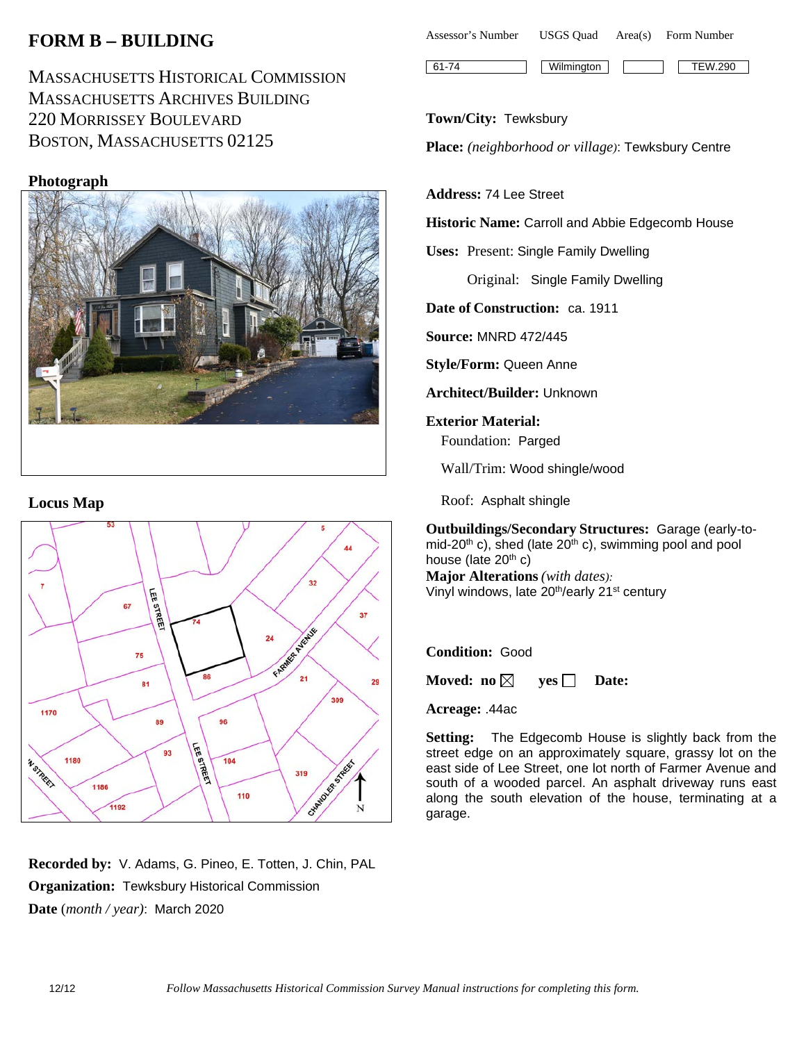# **FORM B** − **BUILDING**

MASSACHUSETTS HISTORICAL COMMISSION MASSACHUSETTS ARCHIVES BUILDING 220 MORRISSEY BOULEVARD BOSTON, MASSACHUSETTS 02125

## **Photograph**



#### **Locus Map**



**Recorded by:** V. Adams, G. Pineo, E. Totten, J. Chin, PAL **Organization:** Tewksbury Historical Commission **Date** (*month / year)*: March 2020

| Assessor's Number | USGS Ouad | Area(s) | Form Number |  |
|-------------------|-----------|---------|-------------|--|
|                   |           |         |             |  |

61-74 Wilmington TEW.290

#### **Town/City:** Tewksbury

**Place:** *(neighborhood or village)*: Tewksbury Centre

#### **Address:** 74 Lee Street

**Historic Name:** Carroll and Abbie Edgecomb House

**Uses:** Present: Single Family Dwelling

Original: Single Family Dwelling

**Date of Construction:** ca. 1911

**Source:** MNRD 472/445

**Style/Form:** Queen Anne

**Architect/Builder:** Unknown

**Exterior Material:** Foundation: Parged

Wall/Trim: Wood shingle/wood

Roof: Asphalt shingle

**Outbuildings/Secondary Structures:** Garage (early-tomid-20<sup>th</sup> c), shed (late  $20<sup>th</sup>$  c), swimming pool and pool house (late  $20<sup>th</sup>$  c)

**Major Alterations** *(with dates):* Vinyl windows, late 20th/early 21st century

#### **Condition:** Good

**Moved:** no  $\boxtimes$  **yes**  $\Box$  **Date:** 

**Acreage:** .44ac

**Setting:** The Edgecomb House is slightly back from the street edge on an approximately square, grassy lot on the east side of Lee Street, one lot north of Farmer Avenue and south of a wooded parcel. An asphalt driveway runs east along the south elevation of the house, terminating at a garage.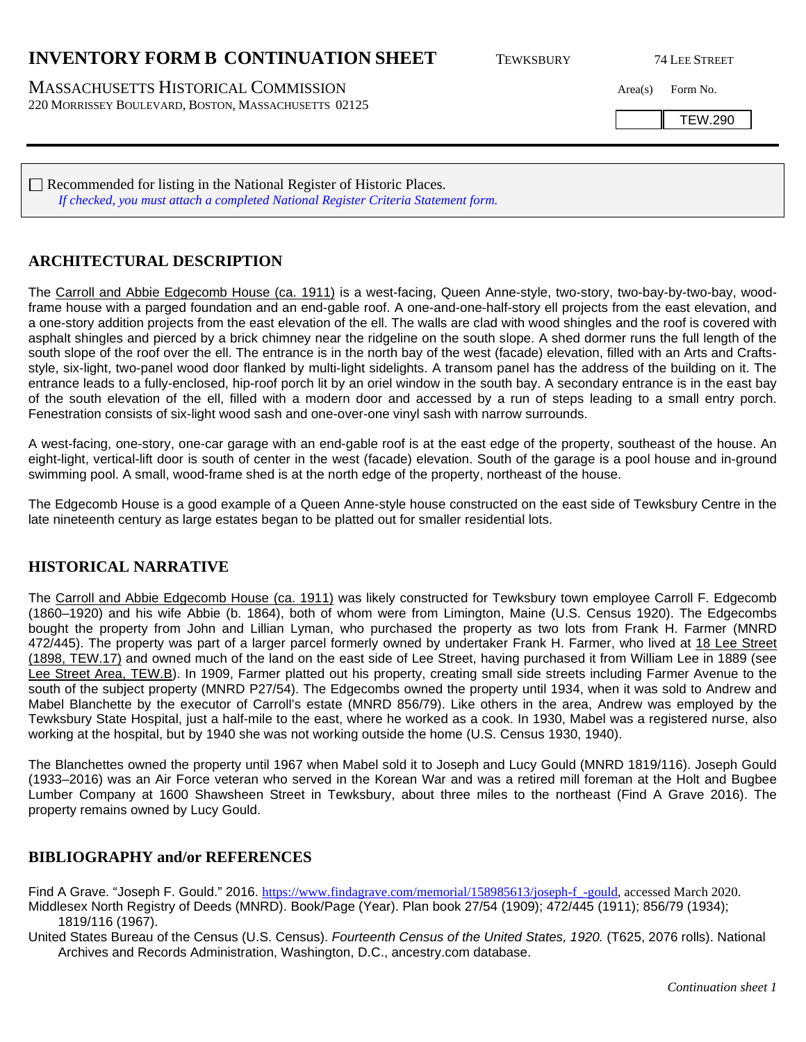## **INVENTORY FORM B CONTINUATION SHEET** TEWKSBURY 74 LEE STREET

MASSACHUSETTS HISTORICAL COMMISSION Area(s) Form No. 220 MORRISSEY BOULEVARD, BOSTON, MASSACHUSETTS 02125

TEW.290

Recommended for listing in the National Register of Historic Places. *If checked, you must attach a completed National Register Criteria Statement form.*

### **ARCHITECTURAL DESCRIPTION**

The Carroll and Abbie Edgecomb House (ca. 1911) is a west-facing, Queen Anne-style, two-story, two-bay-by-two-bay, woodframe house with a parged foundation and an end-gable roof. A one-and-one-half-story ell projects from the east elevation, and a one-story addition projects from the east elevation of the ell. The walls are clad with wood shingles and the roof is covered with asphalt shingles and pierced by a brick chimney near the ridgeline on the south slope. A shed dormer runs the full length of the south slope of the roof over the ell. The entrance is in the north bay of the west (facade) elevation, filled with an Arts and Craftsstyle, six-light, two-panel wood door flanked by multi-light sidelights. A transom panel has the address of the building on it. The entrance leads to a fully-enclosed, hip-roof porch lit by an oriel window in the south bay. A secondary entrance is in the east bay of the south elevation of the ell, filled with a modern door and accessed by a run of steps leading to a small entry porch. Fenestration consists of six-light wood sash and one-over-one vinyl sash with narrow surrounds.

A west-facing, one-story, one-car garage with an end-gable roof is at the east edge of the property, southeast of the house. An eight-light, vertical-lift door is south of center in the west (facade) elevation. South of the garage is a pool house and in-ground swimming pool. A small, wood-frame shed is at the north edge of the property, northeast of the house.

The Edgecomb House is a good example of a Queen Anne-style house constructed on the east side of Tewksbury Centre in the late nineteenth century as large estates began to be platted out for smaller residential lots.

### **HISTORICAL NARRATIVE**

The Carroll and Abbie Edgecomb House (ca. 1911) was likely constructed for Tewksbury town employee Carroll F. Edgecomb (1860–1920) and his wife Abbie (b. 1864), both of whom were from Limington, Maine (U.S. Census 1920). The Edgecombs bought the property from John and Lillian Lyman, who purchased the property as two lots from Frank H. Farmer (MNRD 472/445). The property was part of a larger parcel formerly owned by undertaker Frank H. Farmer, who lived at 18 Lee Street (1898, TEW.17) and owned much of the land on the east side of Lee Street, having purchased it from William Lee in 1889 (see Lee Street Area, TEW.B). In 1909, Farmer platted out his property, creating small side streets including Farmer Avenue to the south of the subject property (MNRD P27/54). The Edgecombs owned the property until 1934, when it was sold to Andrew and Mabel Blanchette by the executor of Carroll's estate (MNRD 856/79). Like others in the area, Andrew was employed by the Tewksbury State Hospital, just a half-mile to the east, where he worked as a cook. In 1930, Mabel was a registered nurse, also working at the hospital, but by 1940 she was not working outside the home (U.S. Census 1930, 1940).

The Blanchettes owned the property until 1967 when Mabel sold it to Joseph and Lucy Gould (MNRD 1819/116). Joseph Gould (1933–2016) was an Air Force veteran who served in the Korean War and was a retired mill foreman at the Holt and Bugbee Lumber Company at 1600 Shawsheen Street in Tewksbury, about three miles to the northeast (Find A Grave 2016). The property remains owned by Lucy Gould.

#### **BIBLIOGRAPHY and/or REFERENCES**

Find A Grave. "Joseph F. Gould." 2016. https://www.findagrave.com/memorial/158985613/joseph-f-gould, accessed March 2020. Middlesex North Registry of Deeds (MNRD). Book/Page (Year). Plan book 27/54 (1909); 472/445 (1911); 856/79 (1934); 1819/116 (1967).

United States Bureau of the Census (U.S. Census). *Fourteenth Census of the United States, 1920.* (T625, 2076 rolls). National Archives and Records Administration, Washington, D.C., ancestry.com database.